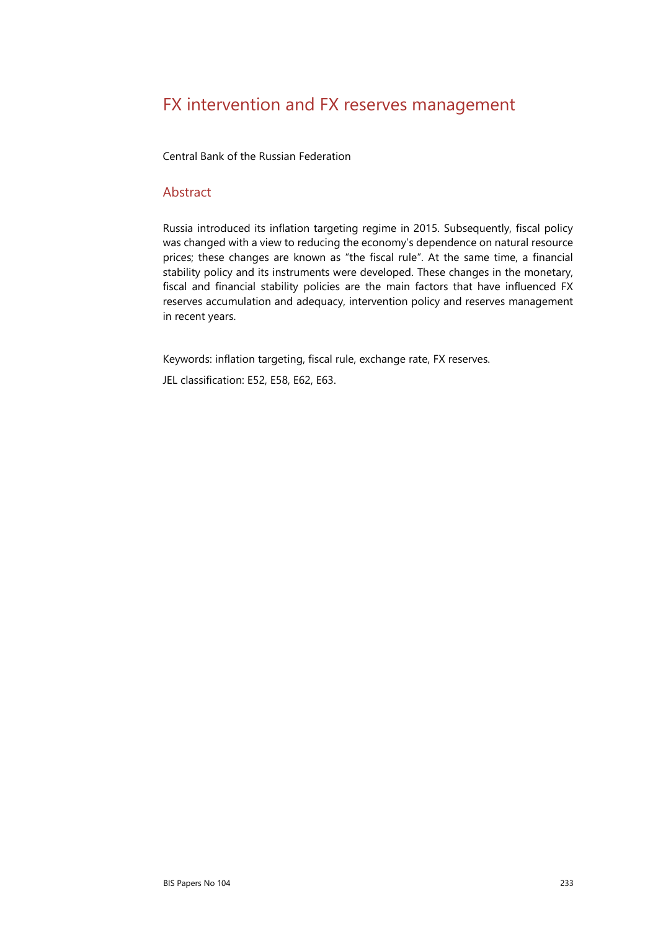# FX intervention and FX reserves management

Central Bank of the Russian Federation

#### Abstract

Russia introduced its inflation targeting regime in 2015. Subsequently, fiscal policy was changed with a view to reducing the economy's dependence on natural resource prices; these changes are known as "the fiscal rule". At the same time, a financial stability policy and its instruments were developed. These changes in the monetary, fiscal and financial stability policies are the main factors that have influenced FX reserves accumulation and adequacy, intervention policy and reserves management in recent years.

Keywords: inflation targeting, fiscal rule, exchange rate, FX reserves.

JEL classification: E52, E58, E62, E63.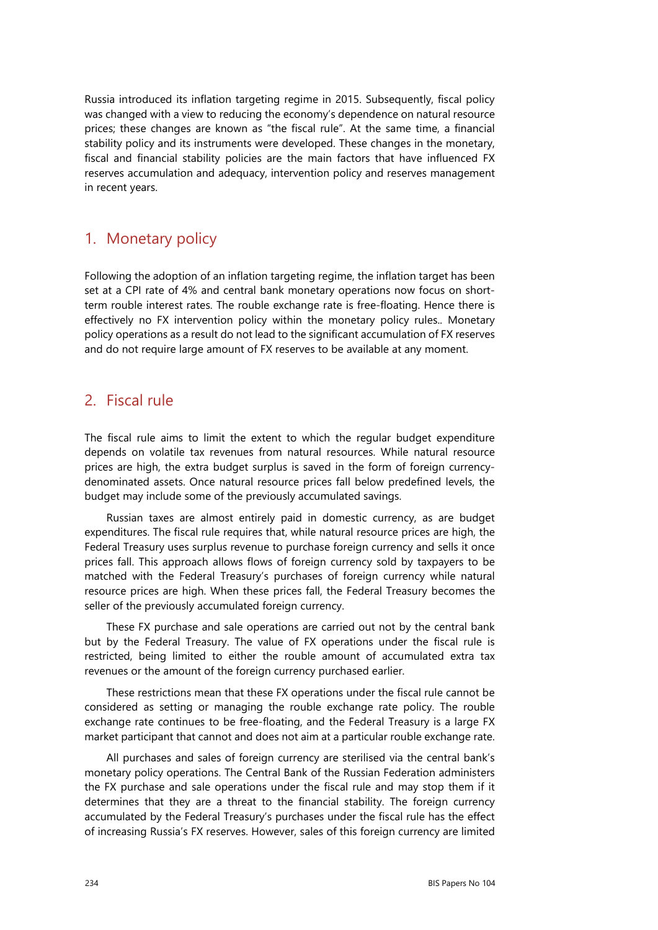Russia introduced its inflation targeting regime in 2015. Subsequently, fiscal policy was changed with a view to reducing the economy's dependence on natural resource prices; these changes are known as "the fiscal rule". At the same time, a financial stability policy and its instruments were developed. These changes in the monetary, fiscal and financial stability policies are the main factors that have influenced FX reserves accumulation and adequacy, intervention policy and reserves management in recent years.

## 1. Monetary policy

Following the adoption of an inflation targeting regime, the inflation target has been set at a CPI rate of 4% and central bank monetary operations now focus on shortterm rouble interest rates. The rouble exchange rate is free-floating. Hence there is effectively no FX intervention policy within the monetary policy rules.. Monetary policy operations as a result do not lead to the significant accumulation of FX reserves and do not require large amount of FX reserves to be available at any moment.

## 2. Fiscal rule

The fiscal rule aims to limit the extent to which the regular budget expenditure depends on volatile tax revenues from natural resources. While natural resource prices are high, the extra budget surplus is saved in the form of foreign currencydenominated assets. Once natural resource prices fall below predefined levels, the budget may include some of the previously accumulated savings.

Russian taxes are almost entirely paid in domestic currency, as are budget expenditures. The fiscal rule requires that, while natural resource prices are high, the Federal Treasury uses surplus revenue to purchase foreign currency and sells it once prices fall. This approach allows flows of foreign currency sold by taxpayers to be matched with the Federal Treasury's purchases of foreign currency while natural resource prices are high. When these prices fall, the Federal Treasury becomes the seller of the previously accumulated foreign currency.

These FX purchase and sale operations are carried out not by the central bank but by the Federal Treasury. The value of FX operations under the fiscal rule is restricted, being limited to either the rouble amount of accumulated extra tax revenues or the amount of the foreign currency purchased earlier.

These restrictions mean that these FX operations under the fiscal rule cannot be considered as setting or managing the rouble exchange rate policy. The rouble exchange rate continues to be free-floating, and the Federal Treasury is a large FX market participant that cannot and does not aim at a particular rouble exchange rate.

All purchases and sales of foreign currency are sterilised via the central bank's monetary policy operations. The Central Bank of the Russian Federation administers the FX purchase and sale operations under the fiscal rule and may stop them if it determines that they are a threat to the financial stability. The foreign currency accumulated by the Federal Treasury's purchases under the fiscal rule has the effect of increasing Russia's FX reserves. However, sales of this foreign currency are limited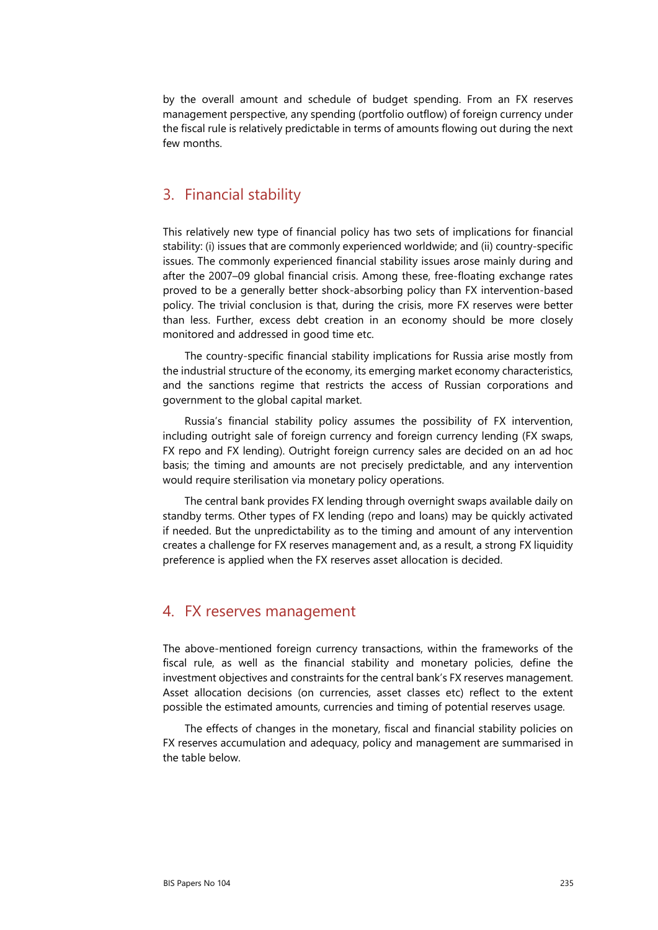by the overall amount and schedule of budget spending. From an FX reserves management perspective, any spending (portfolio outflow) of foreign currency under the fiscal rule is relatively predictable in terms of amounts flowing out during the next few months.

### 3. Financial stability

This relatively new type of financial policy has two sets of implications for financial stability: (i) issues that are commonly experienced worldwide; and (ii) country-specific issues. The commonly experienced financial stability issues arose mainly during and after the 2007–09 global financial crisis. Among these, free-floating exchange rates proved to be a generally better shock-absorbing policy than FX intervention-based policy. The trivial conclusion is that, during the crisis, more FX reserves were better than less. Further, excess debt creation in an economy should be more closely monitored and addressed in good time etc.

The country-specific financial stability implications for Russia arise mostly from the industrial structure of the economy, its emerging market economy characteristics, and the sanctions regime that restricts the access of Russian corporations and government to the global capital market.

Russia's financial stability policy assumes the possibility of FX intervention, including outright sale of foreign currency and foreign currency lending (FX swaps, FX repo and FX lending). Outright foreign currency sales are decided on an ad hoc basis; the timing and amounts are not precisely predictable, and any intervention would require sterilisation via monetary policy operations.

The central bank provides FX lending through overnight swaps available daily on standby terms. Other types of FX lending (repo and loans) may be quickly activated if needed. But the unpredictability as to the timing and amount of any intervention creates a challenge for FX reserves management and, as a result, a strong FX liquidity preference is applied when the FX reserves asset allocation is decided.

### 4. FX reserves management

The above-mentioned foreign currency transactions, within the frameworks of the fiscal rule, as well as the financial stability and monetary policies, define the investment objectives and constraints for the central bank's FX reserves management. Asset allocation decisions (on currencies, asset classes etc) reflect to the extent possible the estimated amounts, currencies and timing of potential reserves usage.

The effects of changes in the monetary, fiscal and financial stability policies on FX reserves accumulation and adequacy, policy and management are summarised in the table below.